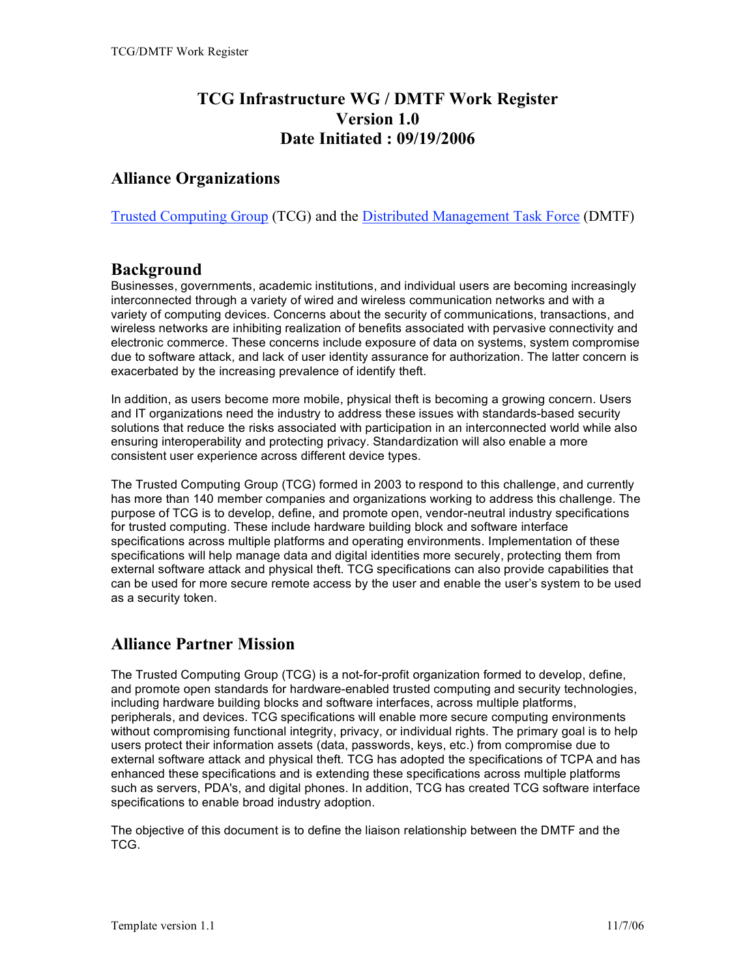## **TCG Infrastructure WG / DMTF Work Register Version 1.0 Date Initiated : 09/19/2006**

#### **Alliance Organizations**

Trusted Computing Group (TCG) and the Distributed Management Task Force (DMTF)

#### **Background**

Businesses, governments, academic institutions, and individual users are becoming increasingly interconnected through a variety of wired and wireless communication networks and with a variety of computing devices. Concerns about the security of communications, transactions, and wireless networks are inhibiting realization of benefits associated with pervasive connectivity and electronic commerce. These concerns include exposure of data on systems, system compromise due to software attack, and lack of user identity assurance for authorization. The latter concern is exacerbated by the increasing prevalence of identify theft.

In addition, as users become more mobile, physical theft is becoming a growing concern. Users and IT organizations need the industry to address these issues with standards-based security solutions that reduce the risks associated with participation in an interconnected world while also ensuring interoperability and protecting privacy. Standardization will also enable a more consistent user experience across different device types.

The Trusted Computing Group (TCG) formed in 2003 to respond to this challenge, and currently has more than 140 member companies and organizations working to address this challenge. The purpose of TCG is to develop, define, and promote open, vendor-neutral industry specifications for trusted computing. These include hardware building block and software interface specifications across multiple platforms and operating environments. Implementation of these specifications will help manage data and digital identities more securely, protecting them from external software attack and physical theft. TCG specifications can also provide capabilities that can be used for more secure remote access by the user and enable the user's system to be used as a security token.

### **Alliance Partner Mission**

The Trusted Computing Group (TCG) is a not-for-profit organization formed to develop, define, and promote open standards for hardware-enabled trusted computing and security technologies, including hardware building blocks and software interfaces, across multiple platforms, peripherals, and devices. TCG specifications will enable more secure computing environments without compromising functional integrity, privacy, or individual rights. The primary goal is to help users protect their information assets (data, passwords, keys, etc.) from compromise due to external software attack and physical theft. TCG has adopted the specifications of TCPA and has enhanced these specifications and is extending these specifications across multiple platforms such as servers, PDA's, and digital phones. In addition, TCG has created TCG software interface specifications to enable broad industry adoption.

The objective of this document is to define the liaison relationship between the DMTF and the TCG.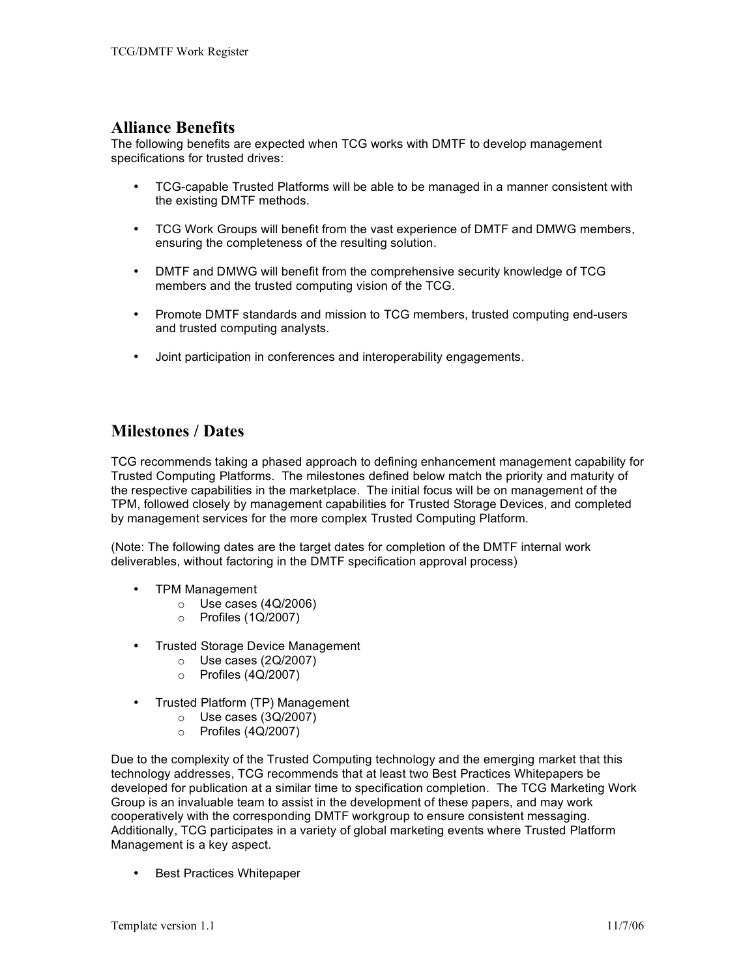#### **Alliance Benefits**

The following benefits are expected when TCG works with DMTF to develop management specifications for trusted drives:

- TCG-capable Trusted Platforms will be able to be managed in a manner consistent with the existing DMTF methods.
- TCG Work Groups will benefit from the vast experience of DMTF and DMWG members, ensuring the completeness of the resulting solution.
- DMTF and DMWG will benefit from the comprehensive security knowledge of TCG members and the trusted computing vision of the TCG.
- Promote DMTF standards and mission to TCG members, trusted computing end-users and trusted computing analysts.
- Joint participation in conferences and interoperability engagements.

#### **Milestones / Dates**

TCG recommends taking a phased approach to defining enhancement management capability for Trusted Computing Platforms. The milestones defined below match the priority and maturity of the respective capabilities in the marketplace. The initial focus will be on management of the TPM, followed closely by management capabilities for Trusted Storage Devices, and completed by management services for the more complex Trusted Computing Platform.

(Note: The following dates are the target dates for completion of the DMTF internal work deliverables, without factoring in the DMTF specification approval process)

- TPM Management
	- $\circ$  Use cases (4Q/2006)
	- $\circ$  Profiles (1Q/2007)
- Trusted Storage Device Management
	- $\circ$  Use cases (2Q/2007)
	- o Profiles (4Q/2007)
- Trusted Platform (TP) Management
	- $\circ$  Use cases (3Q/2007)
	- o Profiles (4Q/2007)

Due to the complexity of the Trusted Computing technology and the emerging market that this technology addresses, TCG recommends that at least two Best Practices Whitepapers be developed for publication at a similar time to specification completion. The TCG Marketing Work Group is an invaluable team to assist in the development of these papers, and may work cooperatively with the corresponding DMTF workgroup to ensure consistent messaging. Additionally, TCG participates in a variety of global marketing events where Trusted Platform Management is a key aspect.

• Best Practices Whitepaper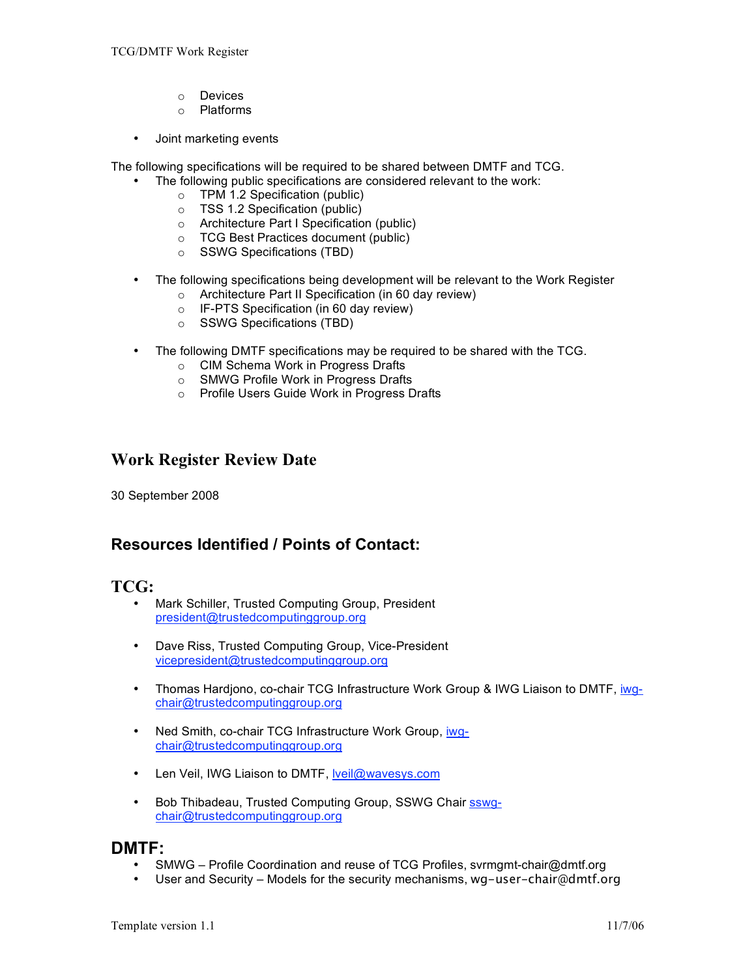- o Devices
- o Platforms
- Joint marketing events

The following specifications will be required to be shared between DMTF and TCG.

- The following public specifications are considered relevant to the work:
	- o TPM 1.2 Specification (public)
	- o TSS 1.2 Specification (public)
	- o Architecture Part I Specification (public)
	- o TCG Best Practices document (public)
	- o SSWG Specifications (TBD)
- The following specifications being development will be relevant to the Work Register
	- o Architecture Part II Specification (in 60 day review)
	- o IF-PTS Specification (in 60 day review)
	- o SSWG Specifications (TBD)
- The following DMTF specifications may be required to be shared with the TCG.
	- o CIM Schema Work in Progress Drafts
	- o SMWG Profile Work in Progress Drafts
	- o Profile Users Guide Work in Progress Drafts

#### **Work Register Review Date**

30 September 2008

#### **Resources Identified / Points of Contact:**

#### **TCG:**

- Mark Schiller, Trusted Computing Group, President president@trustedcomputinggroup.org
- Dave Riss, Trusted Computing Group, Vice-President vicepresident@trustedcomputinggroup.org
- Thomas Hardjono, co-chair TCG Infrastructure Work Group & IWG Liaison to DMTF, iwgchair@trustedcomputinggroup.org
- Ned Smith, co-chair TCG Infrastructure Work Group, iwgchair@trustedcomputinggroup.org
- Len Veil, IWG Liaison to DMTF, **veil@wavesys.com**
- Bob Thibadeau, Trusted Computing Group, SSWG Chair sswgchair@trustedcomputinggroup.org

#### **DMTF:**

- SMWG Profile Coordination and reuse of TCG Profiles, svrmgmt-chair@dmtf.org
- User and Security Models for the security mechanisms,  $wq$ –user-chair@dmtf.org